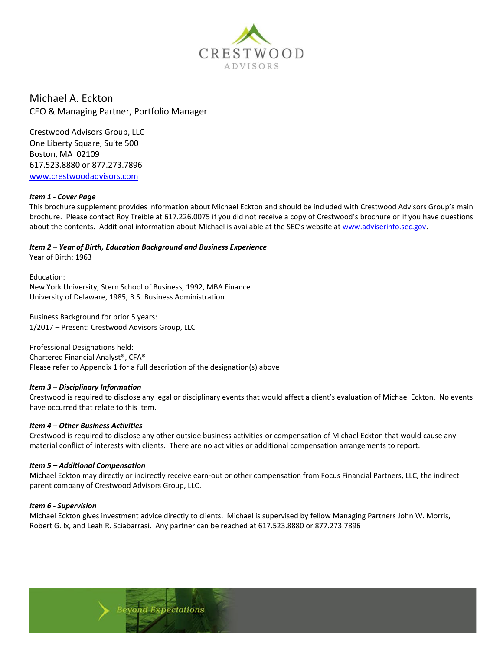

Michael A. Eckton CEO & Managing Partner, Portfolio Manager

Crestwood Advisors Group, LLC One Liberty Square, Suite 500 Boston, MA 02109 617.523.8880 or 877.273.7896 [www.crestwoodadvisors.com](http://www.crestwoodadvisors.com/)

## *Item 1 - Cover Page*

This brochure supplement provides information about Michael Eckton and should be included with Crestwood Advisors Group's main brochure. Please contact Roy Treible at 617.226.0075 if you did not receive a copy of Crestwood's brochure or if you have questions about the contents. Additional information about Michael is available at the SEC's website at [www.adviserinfo.sec.gov.](http://www.adviserinfo.sec.gov/)

*Item 2 – Year of Birth, Education Background and Business Experience*

Year of Birth: 1963

Education: New York University, Stern School of Business, 1992, MBA Finance University of Delaware, 1985, B.S. Business Administration

Business Background for prior 5 years: 1/2017 – Present: Crestwood Advisors Group, LLC

Professional Designations held: Chartered Financial Analyst®, CFA® Please refer to Appendix 1 for a full description of the designation(s) above

## *Item 3 – Disciplinary Information*

Crestwood is required to disclose any legal or disciplinary events that would affect a client's evaluation of Michael Eckton. No events have occurred that relate to this item.

#### *Item 4 – Other Business Activities*

Crestwood is required to disclose any other outside business activities or compensation of Michael Eckton that would cause any material conflict of interests with clients. There are no activities or additional compensation arrangements to report.

## *Item 5 – Additional Compensation*

Michael Eckton may directly or indirectly receive earn-out or other compensation from Focus Financial Partners, LLC, the indirect parent company of Crestwood Advisors Group, LLC.

## *Item 6 - Supervision*

Michael Eckton gives investment advice directly to clients. Michael is supervised by fellow Managing Partners John W. Morris, Robert G. Ix, and Leah R. Sciabarrasi. Any partner can be reached at 617.523.8880 or 877.273.7896

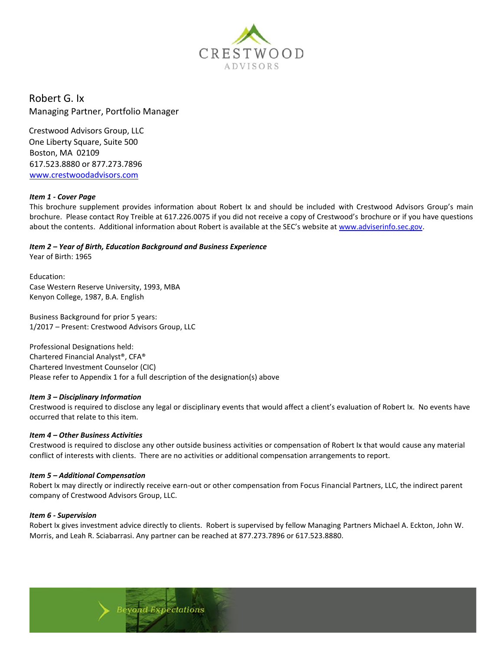

Robert G. Ix Managing Partner, Portfolio Manager

Crestwood Advisors Group, LLC One Liberty Square, Suite 500 Boston, MA 02109 617.523.8880 or 877.273.7896 [www.crestwoodadvisors.com](http://www.crestwoodadvisors.com/)

## *Item 1 - Cover Page*

This brochure supplement provides information about Robert Ix and should be included with Crestwood Advisors Group's main brochure. Please contact Roy Treible at 617.226.0075 if you did not receive a copy of Crestwood's brochure or if you have questions about the contents. Additional information about Robert is available at the SEC's website at [www.adviserinfo.sec.gov.](http://www.adviserinfo.sec.gov/)

*Item 2 – Year of Birth, Education Background and Business Experience*

Year of Birth: 1965

Education: Case Western Reserve University, 1993, MBA Kenyon College, 1987, B.A. English

Business Background for prior 5 years: 1/2017 – Present: Crestwood Advisors Group, LLC

Professional Designations held: Chartered Financial Analyst®, CFA® Chartered Investment Counselor (CIC) Please refer to Appendix 1 for a full description of the designation(s) above

#### *Item 3 – Disciplinary Information*

Crestwood is required to disclose any legal or disciplinary events that would affect a client's evaluation of Robert Ix. No events have occurred that relate to this item.

#### *Item 4 – Other Business Activities*

Crestwood is required to disclose any other outside business activities or compensation of Robert Ix that would cause any material conflict of interests with clients. There are no activities or additional compensation arrangements to report.

#### *Item 5 – Additional Compensation*

Robert Ix may directly or indirectly receive earn-out or other compensation from Focus Financial Partners, LLC, the indirect parent company of Crestwood Advisors Group, LLC.

#### *Item 6 - Supervision*

Robert Ix gives investment advice directly to clients. Robert is supervised by fellow Managing Partners Michael A. Eckton, John W. Morris, and Leah R. Sciabarrasi. Any partner can be reached at 877.273.7896 or 617.523.8880.

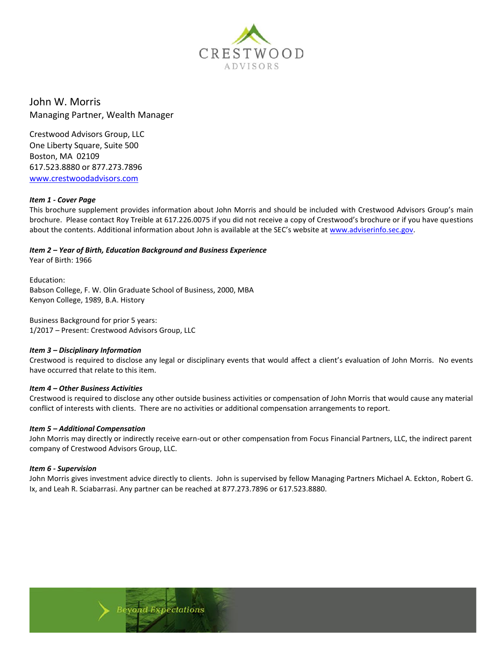

John W. Morris Managing Partner, Wealth Manager

Crestwood Advisors Group, LLC One Liberty Square, Suite 500 Boston, MA 02109 617.523.8880 or 877.273.7896 [www.crestwoodadvisors.com](http://www.crestwoodadvisors.com/)

#### *Item 1 - Cover Page*

This brochure supplement provides information about John Morris and should be included with Crestwood Advisors Group's main brochure. Please contact Roy Treible at 617.226.0075 if you did not receive a copy of Crestwood's brochure or if you have questions about the contents. Additional information about John is available at the SEC's website at [www.adviserinfo.sec.gov.](http://www.adviserinfo.sec.gov/)

#### *Item 2 – Year of Birth, Education Background and Business Experience*

Year of Birth: 1966

Education: Babson College, F. W. Olin Graduate School of Business, 2000, MBA Kenyon College, 1989, B.A. History

**yond Expectations** 

Business Background for prior 5 years: 1/2017 – Present: Crestwood Advisors Group, LLC

## *Item 3 – Disciplinary Information*

Crestwood is required to disclose any legal or disciplinary events that would affect a client's evaluation of John Morris. No events have occurred that relate to this item.

## *Item 4 – Other Business Activities*

Crestwood is required to disclose any other outside business activities or compensation of John Morris that would cause any material conflict of interests with clients. There are no activities or additional compensation arrangements to report.

#### *Item 5 – Additional Compensation*

John Morris may directly or indirectly receive earn-out or other compensation from Focus Financial Partners, LLC, the indirect parent company of Crestwood Advisors Group, LLC.

#### *Item 6 - Supervision*

John Morris gives investment advice directly to clients. John is supervised by fellow Managing Partners Michael A. Eckton, Robert G. Ix, and Leah R. Sciabarrasi. Any partner can be reached at 877.273.7896 or 617.523.8880.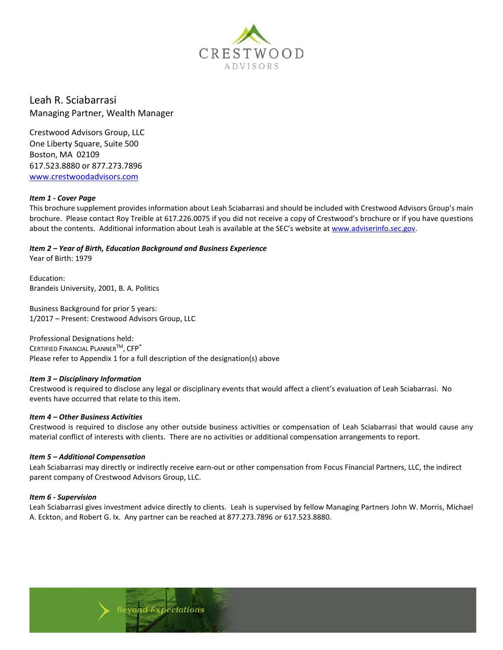

Leah R. Sciabarrasi Managing Partner, Wealth Manager

Crestwood Advisors Group, LLC One Liberty Square, Suite 500 Boston, MA 02109 617.523.8880 or 877.273.7896 [www.crestwoodadvisors.com](http://www.crestwoodadvisors.com/)

#### *Item 1 - Cover Page*

This brochure supplement provides information about Leah Sciabarrasi and should be included with Crestwood Advisors Group's main brochure. Please contact Roy Treible at 617.226.0075 if you did not receive a copy of Crestwood's brochure or if you have questions about the contents. Additional information about Leah is available at the SEC's website at [www.adviserinfo.sec.gov.](http://www.adviserinfo.sec.gov/)

## *Item 2 – Year of Birth, Education Background and Business Experience*

Year of Birth: 1979

Education: Brandeis University, 2001, B. A. Politics

Business Background for prior 5 years: 1/2017 – Present: Crestwood Advisors Group, LLC

Professional Designations held: CERTIFIED FINANCIAL PLANNERTM, CFP® Please refer to Appendix 1 for a full description of the designation(s) above

## *Item 3 – Disciplinary Information*

Crestwood is required to disclose any legal or disciplinary events that would affect a client's evaluation of Leah Sciabarrasi. No events have occurred that relate to this item.

## *Item 4 – Other Business Activities*

Crestwood is required to disclose any other outside business activities or compensation of Leah Sciabarrasi that would cause any material conflict of interests with clients. There are no activities or additional compensation arrangements to report.

#### *Item 5 – Additional Compensation*

Leah Sciabarrasi may directly or indirectly receive earn-out or other compensation from Focus Financial Partners, LLC, the indirect parent company of Crestwood Advisors Group, LLC.

#### *Item 6 - Supervision*

Leah Sciabarrasi gives investment advice directly to clients. Leah is supervised by fellow Managing Partners John W. Morris, Michael A. Eckton, and Robert G. Ix. Any partner can be reached at 877.273.7896 or 617.523.8880.

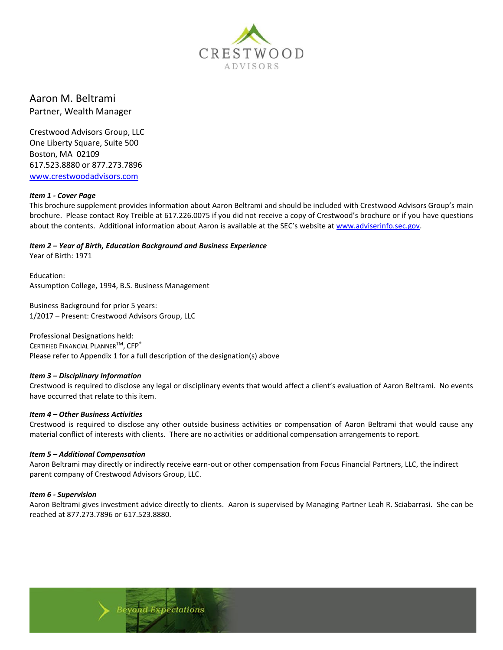

# Aaron M. Beltrami Partner, Wealth Manager

Crestwood Advisors Group, LLC One Liberty Square, Suite 500 Boston, MA 02109 617.523.8880 or 877.273.7896 [www.crestwoodadvisors.com](http://www.crestwoodadvisors.com/)

## *Item 1 - Cover Page*

This brochure supplement provides information about Aaron Beltrami and should be included with Crestwood Advisors Group's main brochure. Please contact Roy Treible at 617.226.0075 if you did not receive a copy of Crestwood's brochure or if you have questions about the contents. Additional information about Aaron is available at the SEC's website at [www.adviserinfo.sec.gov.](http://www.adviserinfo.sec.gov/)

*Item 2 – Year of Birth, Education Background and Business Experience*

Year of Birth: 1971

Education: Assumption College, 1994, B.S. Business Management

Business Background for prior 5 years: 1/2017 – Present: Crestwood Advisors Group, LLC

Professional Designations held: CERTIFIED FINANCIAL PLANNER<sup>™</sup>, CFP<sup>®</sup> Please refer to Appendix 1 for a full description of the designation(s) above

**yond Expectations** 

## *Item 3 – Disciplinary Information*

Crestwood is required to disclose any legal or disciplinary events that would affect a client's evaluation of Aaron Beltrami. No events have occurred that relate to this item.

#### *Item 4 – Other Business Activities*

Crestwood is required to disclose any other outside business activities or compensation of Aaron Beltrami that would cause any material conflict of interests with clients. There are no activities or additional compensation arrangements to report.

#### *Item 5 – Additional Compensation*

Aaron Beltrami may directly or indirectly receive earn-out or other compensation from Focus Financial Partners, LLC, the indirect parent company of Crestwood Advisors Group, LLC.

## *Item 6 - Supervision*

Aaron Beltrami gives investment advice directly to clients. Aaron is supervised by Managing Partner Leah R. Sciabarrasi. She can be reached at 877.273.7896 or 617.523.8880.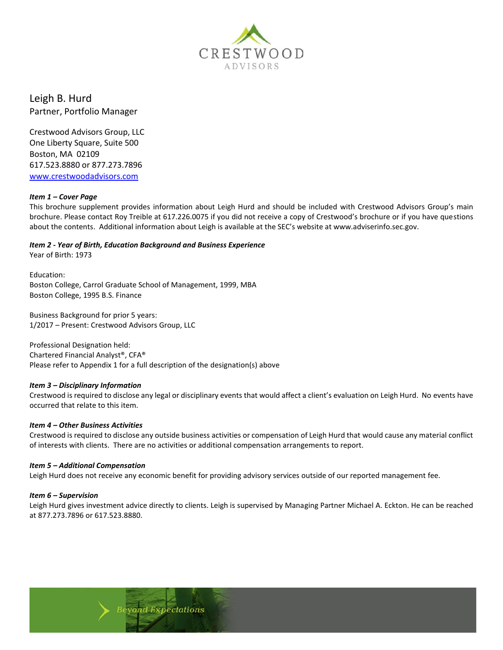

Leigh B. Hurd Partner, Portfolio Manager

Crestwood Advisors Group, LLC One Liberty Square, Suite 500 Boston, MA 02109 617.523.8880 or 877.273.7896 [www.crestwoodadvisors.com](http://www.crestwoodadvisors.com/)

#### *Item 1 – Cover Page*

This brochure supplement provides information about Leigh Hurd and should be included with Crestwood Advisors Group's main brochure. Please contact Roy Treible at 617.226.0075 if you did not receive a copy of Crestwood's brochure or if you have questions about the contents. Additional information about Leigh is available at the SEC's website at www.adviserinfo.sec.gov.

#### *Item 2 - Year of Birth, Education Background and Business Experience*

Year of Birth: 1973

Education: Boston College, Carrol Graduate School of Management, 1999, MBA Boston College, 1995 B.S. Finance

Business Background for prior 5 years: 1/2017 – Present: Crestwood Advisors Group, LLC

Professional Designation held: Chartered Financial Analyst®, CFA® Please refer to Appendix 1 for a full description of the designation(s) above

#### *Item 3 – Disciplinary Information*

Crestwood is required to disclose any legal or disciplinary events that would affect a client's evaluation on Leigh Hurd. No events have occurred that relate to this item.

#### *Item 4 – Other Business Activities*

Crestwood is required to disclose any outside business activities or compensation of Leigh Hurd that would cause any material conflict of interests with clients. There are no activities or additional compensation arrangements to report.

#### *Item 5 – Additional Compensation*

Leigh Hurd does not receive any economic benefit for providing advisory services outside of our reported management fee.

#### *Item 6 – Supervision*

Leigh Hurd gives investment advice directly to clients. Leigh is supervised by Managing Partner Michael A. Eckton. He can be reached at 877.273.7896 or 617.523.8880.

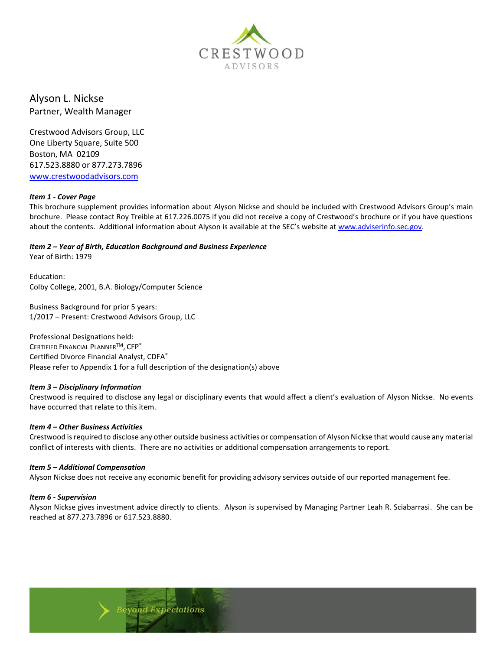

Alyson L. Nickse Partner, Wealth Manager

Crestwood Advisors Group, LLC One Liberty Square, Suite 500 Boston, MA 02109 617.523.8880 or 877.273.7896 [www.crestwoodadvisors.com](http://www.crestwoodadvisors.com/)

## *Item 1 - Cover Page*

This brochure supplement provides information about Alyson Nickse and should be included with Crestwood Advisors Group's main brochure. Please contact Roy Treible at 617.226.0075 if you did not receive a copy of Crestwood's brochure or if you have questions about the contents. Additional information about Alyson is available at the SEC's website at [www.adviserinfo.sec.gov.](http://www.adviserinfo.sec.gov/)

*Item 2 – Year of Birth, Education Background and Business Experience*

Year of Birth: 1979

Education: Colby College, 2001, B.A. Biology/Computer Science

Business Background for prior 5 years: 1/2017 – Present: Crestwood Advisors Group, LLC

Professional Designations held: CERTIFIED FINANCIAL PLANNERTM, CFP® Certified Divorce Financial Analyst, CDFA® Please refer to Appendix 1 for a full description of the designation(s) above

**yond Expectations** 

#### *Item 3 – Disciplinary Information*

Crestwood is required to disclose any legal or disciplinary events that would affect a client's evaluation of Alyson Nickse. No events have occurred that relate to this item.

#### *Item 4 – Other Business Activities*

Crestwood is required to disclose any other outside business activities or compensation of Alyson Nickse that would cause any material conflict of interests with clients. There are no activities or additional compensation arrangements to report.

#### *Item 5 – Additional Compensation*

Alyson Nickse does not receive any economic benefit for providing advisory services outside of our reported management fee.

#### *Item 6 - Supervision*

Alyson Nickse gives investment advice directly to clients. Alyson is supervised by Managing Partner Leah R. Sciabarrasi. She can be reached at 877.273.7896 or 617.523.8880.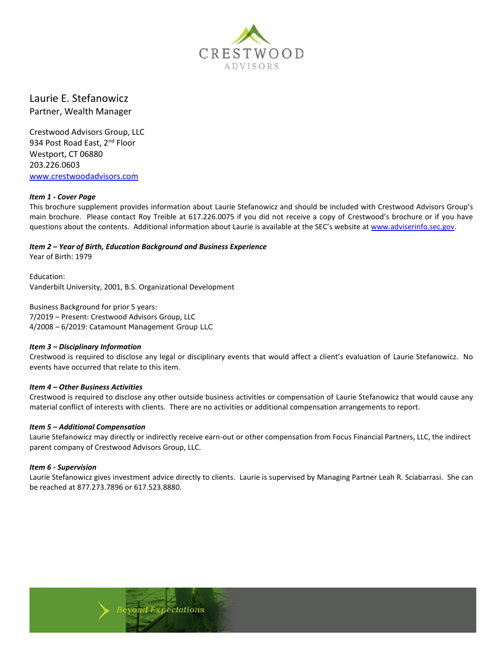

# Laurie E. Stefanowicz Partner, Wealth Manager

Crestwood Advisors Group, LLC 934 Post Road East, 2<sup>nd</sup> Floor Westport, CT 06880 203.226.0603 [www.crestwoodadvisors.com](http://www.crestwoodadvisors.com/)

## *Item 1 - Cover Page*

This brochure supplement provides information about Laurie Stefanowicz and should be included with Crestwood Advisors Group's main brochure. Please contact Roy Treible at 617.226.0075 if you did not receive a copy of Crestwood's brochure or if you have questions about the contents. Additional information about Laurie is available at the SEC's website at [www.adviserinfo.sec.gov.](http://www.adviserinfo.sec.gov/)

## *Item 2 – Year of Birth, Education Background and Business Experience*

Year of Birth: 1979

Education: Vanderbilt University, 2001, B.S. Organizational Development

Business Background for prior 5 years: 7/2019 – Present: Crestwood Advisors Group, LLC 4/2008 – 6/2019: Catamount Management Group LLC

## *Item 3 – Disciplinary Information*

Crestwood is required to disclose any legal or disciplinary events that would affect a client's evaluation of Laurie Stefanowicz. No events have occurred that relate to this item.

## *Item 4 – Other Business Activities*

Crestwood is required to disclose any other outside business activities or compensation of Laurie Stefanowicz that would cause any material conflict of interests with clients. There are no activities or additional compensation arrangements to report.

## *Item 5 – Additional Compensation*

Laurie Stefanowicz may directly or indirectly receive earn-out or other compensation from Focus Financial Partners, LLC, the indirect parent company of Crestwood Advisors Group, LLC.

## *Item 6 - Supervision*

Laurie Stefanowicz gives investment advice directly to clients. Laurie is supervised by Managing Partner Leah R. Sciabarrasi. She can be reached at 877.273.7896 or 617.523.8880.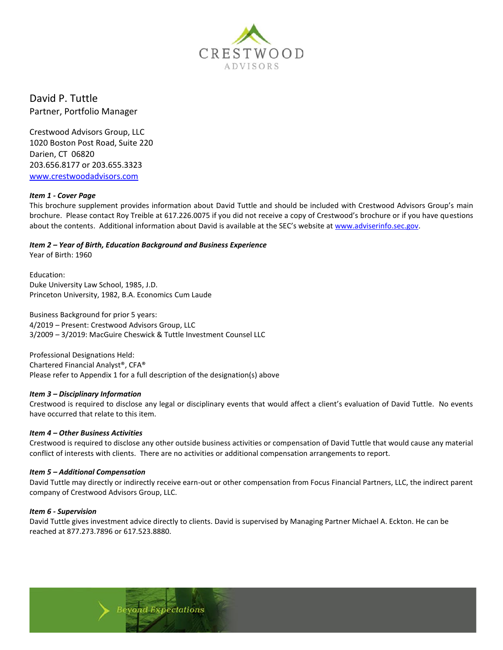

David P. Tuttle Partner, Portfolio Manager

Crestwood Advisors Group, LLC 1020 Boston Post Road, Suite 220 Darien, CT 06820 203.656.8177 or 203.655.3323 [www.crestwoodadvisors.com](http://www.crestwoodadvisors.com/)

#### *Item 1 - Cover Page*

This brochure supplement provides information about David Tuttle and should be included with Crestwood Advisors Group's main brochure. Please contact Roy Treible at 617.226.0075 if you did not receive a copy of Crestwood's brochure or if you have questions about the contents. Additional information about David is available at the SEC's website at [www.adviserinfo.sec.gov.](http://www.adviserinfo.sec.gov/)

*Item 2 – Year of Birth, Education Background and Business Experience*

Year of Birth: 1960

Education: Duke University Law School, 1985, J.D. Princeton University, 1982, B.A. Economics Cum Laude

Business Background for prior 5 years: 4/2019 – Present: Crestwood Advisors Group, LLC 3/2009 – 3/2019: MacGuire Cheswick & Tuttle Investment Counsel LLC

Professional Designations Held: Chartered Financial Analyst®, CFA® Please refer to Appendix 1 for a full description of the designation(s) above

## *Item 3 – Disciplinary Information*

Crestwood is required to disclose any legal or disciplinary events that would affect a client's evaluation of David Tuttle. No events have occurred that relate to this item.

#### *Item 4 – Other Business Activities*

Crestwood is required to disclose any other outside business activities or compensation of David Tuttle that would cause any material conflict of interests with clients. There are no activities or additional compensation arrangements to report.

#### *Item 5 – Additional Compensation*

David Tuttle may directly or indirectly receive earn-out or other compensation from Focus Financial Partners, LLC, the indirect parent company of Crestwood Advisors Group, LLC.

#### *Item 6 - Supervision*

David Tuttle gives investment advice directly to clients. David is supervised by Managing Partner Michael A. Eckton. He can be reached at 877.273.7896 or 617.523.8880.

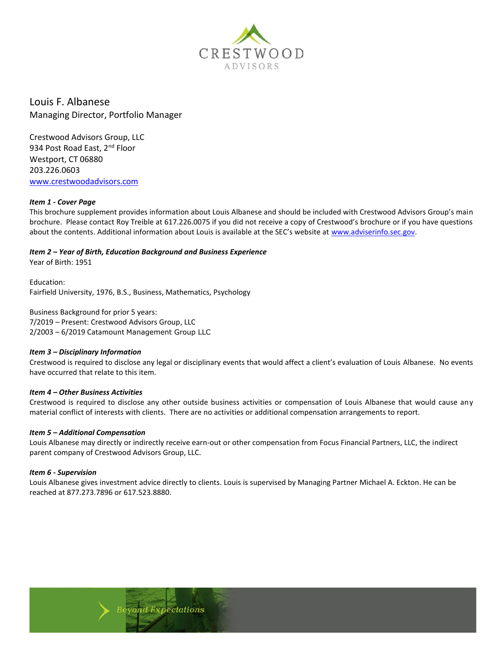

Louis F. Albanese Managing Director, Portfolio Manager

Crestwood Advisors Group, LLC 934 Post Road East, 2<sup>nd</sup> Floor Westport, CT 06880 203.226.0603 [www.crestwoodadvisors.com](http://www.crestwoodadvisors.com/)

#### *Item 1 - Cover Page*

This brochure supplement provides information about Louis Albanese and should be included with Crestwood Advisors Group's main brochure. Please contact Roy Treible at 617.226.0075 if you did not receive a copy of Crestwood's brochure or if you have questions about the contents. Additional information about Louis is available at the SEC's website at [www.adviserinfo.sec.gov.](http://www.adviserinfo.sec.gov/)

#### *Item 2 – Year of Birth, Education Background and Business Experience*

Year of Birth: 1951

Education: Fairfield University, 1976, B.S., Business, Mathematics, Psychology

Business Background for prior 5 years: 7/2019 – Present: Crestwood Advisors Group, LLC 2/2003 – 6/2019 Catamount Management Group LLC

## *Item 3 – Disciplinary Information*

Crestwood is required to disclose any legal or disciplinary events that would affect a client's evaluation of Louis Albanese. No events have occurred that relate to this item.

#### *Item 4 – Other Business Activities*

Crestwood is required to disclose any other outside business activities or compensation of Louis Albanese that would cause any material conflict of interests with clients. There are no activities or additional compensation arrangements to report.

#### *Item 5 – Additional Compensation*

Louis Albanese may directly or indirectly receive earn-out or other compensation from Focus Financial Partners, LLC, the indirect parent company of Crestwood Advisors Group, LLC.

#### *Item 6 - Supervision*

Louis Albanese gives investment advice directly to clients. Louis is supervised by Managing Partner Michael A. Eckton. He can be reached at 877.273.7896 or 617.523.8880.

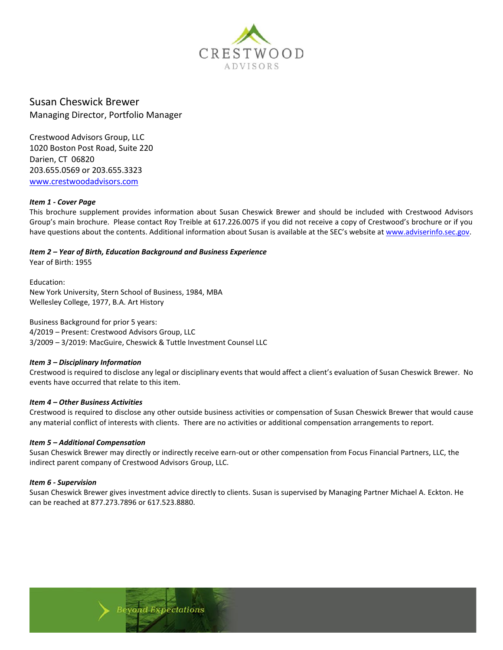

Susan Cheswick Brewer Managing Director, Portfolio Manager

Crestwood Advisors Group, LLC 1020 Boston Post Road, Suite 220 Darien, CT 06820 203.655.0569 or 203.655.3323 [www.crestwoodadvisors.com](http://www.crestwoodadvisors.com/)

#### *Item 1 - Cover Page*

This brochure supplement provides information about Susan Cheswick Brewer and should be included with Crestwood Advisors Group's main brochure. Please contact Roy Treible at 617.226.0075 if you did not receive a copy of Crestwood's brochure or if you have questions about the contents. Additional information about Susan is available at the SEC's website at [www.adviserinfo.sec.gov.](http://www.adviserinfo.sec.gov/)

*Item 2 – Year of Birth, Education Background and Business Experience*

Year of Birth: 1955

Education: New York University, Stern School of Business, 1984, MBA Wellesley College, 1977, B.A. Art History

Business Background for prior 5 years: 4/2019 – Present: Crestwood Advisors Group, LLC 3/2009 – 3/2019: MacGuire, Cheswick & Tuttle Investment Counsel LLC

## *Item 3 – Disciplinary Information*

Crestwood is required to disclose any legal or disciplinary events that would affect a client's evaluation of Susan Cheswick Brewer. No events have occurred that relate to this item.

#### *Item 4 – Other Business Activities*

Crestwood is required to disclose any other outside business activities or compensation of Susan Cheswick Brewer that would cause any material conflict of interests with clients. There are no activities or additional compensation arrangements to report.

#### *Item 5 – Additional Compensation*

Susan Cheswick Brewer may directly or indirectly receive earn-out or other compensation from Focus Financial Partners, LLC, the indirect parent company of Crestwood Advisors Group, LLC.

#### *Item 6 - Supervision*

Susan Cheswick Brewer gives investment advice directly to clients. Susan is supervised by Managing Partner Michael A. Eckton. He can be reached at 877.273.7896 or 617.523.8880.

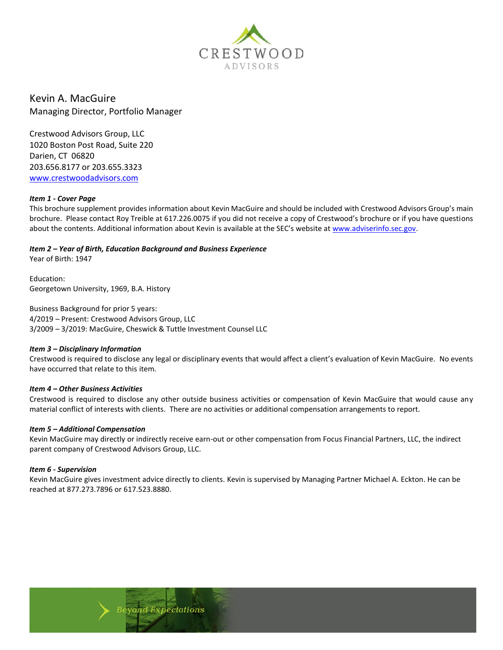

Kevin A. MacGuire Managing Director, Portfolio Manager

Crestwood Advisors Group, LLC 1020 Boston Post Road, Suite 220 Darien, CT 06820 203.656.8177 or 203.655.3323 [www.crestwoodadvisors.com](http://www.crestwoodadvisors.com/)

#### *Item 1 - Cover Page*

This brochure supplement provides information about Kevin MacGuire and should be included with Crestwood Advisors Group's main brochure. Please contact Roy Treible at 617.226.0075 if you did not receive a copy of Crestwood's brochure or if you have questions about the contents. Additional information about Kevin is available at the SEC's website at [www.adviserinfo.sec.gov.](http://www.adviserinfo.sec.gov/)

## *Item 2 – Year of Birth, Education Background and Business Experience*

Year of Birth: 1947

Education: Georgetown University, 1969, B.A. History

Business Background for prior 5 years: 4/2019 – Present: Crestwood Advisors Group, LLC 3/2009 – 3/2019: MacGuire, Cheswick & Tuttle Investment Counsel LLC

## *Item 3 – Disciplinary Information*

Crestwood is required to disclose any legal or disciplinary events that would affect a client's evaluation of Kevin MacGuire. No events have occurred that relate to this item.

## *Item 4 – Other Business Activities*

Crestwood is required to disclose any other outside business activities or compensation of Kevin MacGuire that would cause any material conflict of interests with clients. There are no activities or additional compensation arrangements to report.

#### *Item 5 – Additional Compensation*

Kevin MacGuire may directly or indirectly receive earn-out or other compensation from Focus Financial Partners, LLC, the indirect parent company of Crestwood Advisors Group, LLC.

#### *Item 6 - Supervision*

Kevin MacGuire gives investment advice directly to clients. Kevin is supervised by Managing Partner Michael A. Eckton. He can be reached at 877.273.7896 or 617.523.8880.

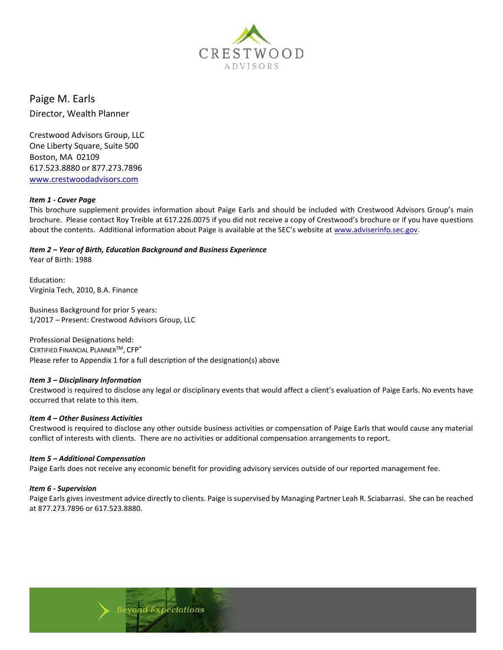

Paige M. Earls

Director, Wealth Planner

Crestwood Advisors Group, LLC One Liberty Square, Suite 500 Boston, MA 02109 617.523.8880 or 877.273.7896 [www.crestwoodadvisors.com](http://www.crestwoodadvisors.com/)

## *Item 1 - Cover Page*

This brochure supplement provides information about Paige Earls and should be included with Crestwood Advisors Group's main brochure. Please contact Roy Treible at 617.226.0075 if you did not receive a copy of Crestwood's brochure or if you have questions about the contents. Additional information about Paige is available at the SEC's website at [www.adviserinfo.sec.gov.](http://www.adviserinfo.sec.gov/)

# *Item 2 – Year of Birth, Education Background and Business Experience*

Year of Birth: 1988

Education: Virginia Tech, 2010, B.A. Finance

Business Background for prior 5 years: 1/2017 – Present: Crestwood Advisors Group, LLC

Professional Designations held: CERTIFIED FINANCIAL PLANNERTM, CFP® Please refer to Appendix 1 for a full description of the designation(s) above

## *Item 3 – Disciplinary Information*

Crestwood is required to disclose any legal or disciplinary events that would affect a client's evaluation of Paige Earls. No events have occurred that relate to this item.

## *Item 4 – Other Business Activities*

Crestwood is required to disclose any other outside business activities or compensation of Paige Earls that would cause any material conflict of interests with clients. There are no activities or additional compensation arrangements to report.

## *Item 5 – Additional Compensation*

Paige Earls does not receive any economic benefit for providing advisory services outside of our reported management fee.

## *Item 6 - Supervision*

Paige Earls gives investment advice directly to clients. Paige is supervised by Managing Partner Leah R. Sciabarrasi. She can be reached at 877.273.7896 or 617.523.8880.

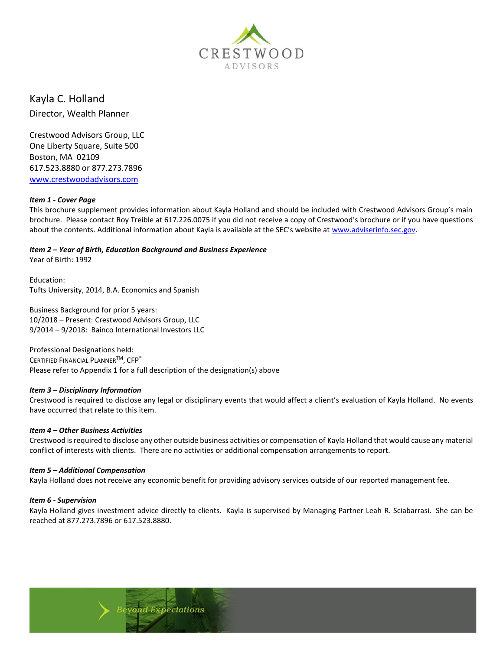

Kayla C. Holland Director, Wealth Planner

Crestwood Advisors Group, LLC One Liberty Square, Suite 500 Boston, MA 02109 617.523.8880 or 877.273.7896 [www.crestwoodadvisors.com](http://www.crestwoodadvisors.com/)

## *Item 1 - Cover Page*

This brochure supplement provides information about Kayla Holland and should be included with Crestwood Advisors Group's main brochure. Please contact Roy Treible at 617.226.0075 if you did not receive a copy of Crestwood's brochure or if you have questions about the contents. Additional information about Kayla is available at the SEC's website at [www.adviserinfo.sec.gov.](http://www.adviserinfo.sec.gov/)

# *Item 2 – Year of Birth, Education Background and Business Experience*

Year of Birth: 1992

Education: Tufts University, 2014, B.A. Economics and Spanish

Business Background for prior 5 years: 10/2018 – Present: Crestwood Advisors Group, LLC 9/2014 – 9/2018: Bainco International Investors LLC

Professional Designations held: CERTIFIED FINANCIAL PLANNER<sup>™</sup>, CFP<sup>®</sup> Please refer to Appendix 1 for a full description of the designation(s) above

## *Item 3 – Disciplinary Information*

Crestwood is required to disclose any legal or disciplinary events that would affect a client's evaluation of Kayla Holland. No events have occurred that relate to this item.

#### *Item 4 – Other Business Activities*

Crestwood is required to disclose any other outside business activities or compensation of Kayla Holland that would cause any material conflict of interests with clients. There are no activities or additional compensation arrangements to report.

## *Item 5 – Additional Compensation*

Kayla Holland does not receive any economic benefit for providing advisory services outside of our reported management fee.

## *Item 6 - Supervision*

Kayla Holland gives investment advice directly to clients. Kayla is supervised by Managing Partner Leah R. Sciabarrasi. She can be reached at 877.273.7896 or 617.523.8880.

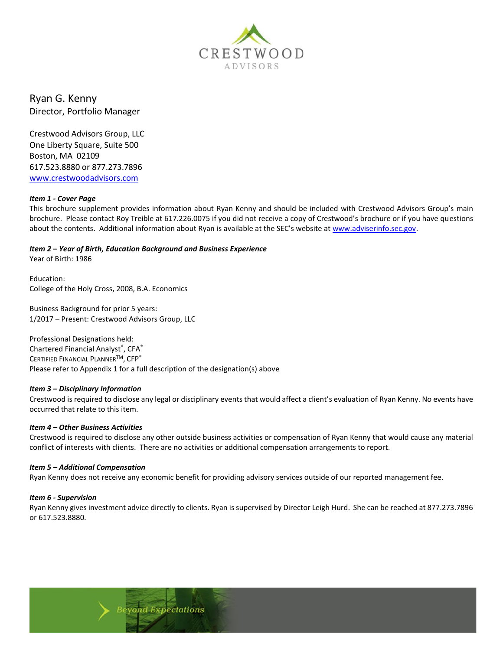

Ryan G. Kenny Director, Portfolio Manager

Crestwood Advisors Group, LLC One Liberty Square, Suite 500 Boston, MA 02109 617.523.8880 or 877.273.7896 [www.crestwoodadvisors.com](http://www.crestwoodadvisors.com/)

## *Item 1 - Cover Page*

This brochure supplement provides information about Ryan Kenny and should be included with Crestwood Advisors Group's main brochure. Please contact Roy Treible at 617.226.0075 if you did not receive a copy of Crestwood's brochure or if you have questions about the contents. Additional information about Ryan is available at the SEC's website at [www.adviserinfo.sec.gov.](http://www.adviserinfo.sec.gov/)

*Item 2 – Year of Birth, Education Background and Business Experience*

Year of Birth: 1986

Education: College of the Holy Cross, 2008, B.A. Economics

Business Background for prior 5 years: 1/2017 – Present: Crestwood Advisors Group, LLC

Professional Designations held: Chartered Financial Analyst®, CFA® CERTIFIED FINANCIAL PLANNERTM, CFP® Please refer to Appendix 1 for a full description of the designation(s) above

## *Item 3 – Disciplinary Information*

Crestwood is required to disclose any legal or disciplinary events that would affect a client's evaluation of Ryan Kenny. No events have occurred that relate to this item.

#### *Item 4 – Other Business Activities*

Crestwood is required to disclose any other outside business activities or compensation of Ryan Kenny that would cause any material conflict of interests with clients. There are no activities or additional compensation arrangements to report.

#### *Item 5 – Additional Compensation*

Ryan Kenny does not receive any economic benefit for providing advisory services outside of our reported management fee.

#### *Item 6 - Supervision*

Ryan Kenny gives investment advice directly to clients. Ryan is supervised by Director Leigh Hurd. She can be reached at 877.273.7896 or 617.523.8880.

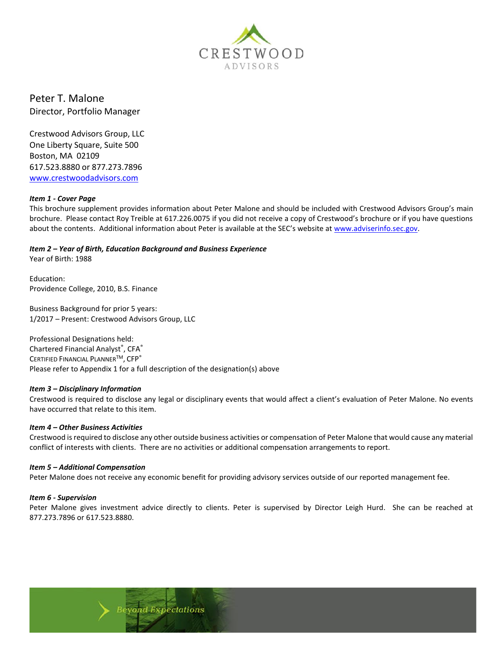

Peter T. Malone Director, Portfolio Manager

Crestwood Advisors Group, LLC One Liberty Square, Suite 500 Boston, MA 02109 617.523.8880 or 877.273.7896 [www.crestwoodadvisors.com](http://www.crestwoodadvisors.com/)

#### *Item 1 - Cover Page*

This brochure supplement provides information about Peter Malone and should be included with Crestwood Advisors Group's main brochure. Please contact Roy Treible at 617.226.0075 if you did not receive a copy of Crestwood's brochure or if you have questions about the contents. Additional information about Peter is available at the SEC's website at [www.adviserinfo.sec.gov.](http://www.adviserinfo.sec.gov/)

# *Item 2 – Year of Birth, Education Background and Business Experience*

Year of Birth: 1988

Education: Providence College, 2010, B.S. Finance

Business Background for prior 5 years: 1/2017 – Present: Crestwood Advisors Group, LLC

Professional Designations held: Chartered Financial Analyst®, CFA® CERTIFIED FINANCIAL PLANNERTM, CFP® Please refer to Appendix 1 for a full description of the designation(s) above

## *Item 3 – Disciplinary Information*

Crestwood is required to disclose any legal or disciplinary events that would affect a client's evaluation of Peter Malone. No events have occurred that relate to this item.

#### *Item 4 – Other Business Activities*

Crestwood is required to disclose any other outside business activities or compensation of Peter Malone that would cause any material conflict of interests with clients. There are no activities or additional compensation arrangements to report.

#### *Item 5 – Additional Compensation*

Peter Malone does not receive any economic benefit for providing advisory services outside of our reported management fee.

#### *Item 6 - Supervision*

Peter Malone gives investment advice directly to clients. Peter is supervised by Director Leigh Hurd. She can be reached at 877.273.7896 or 617.523.8880.

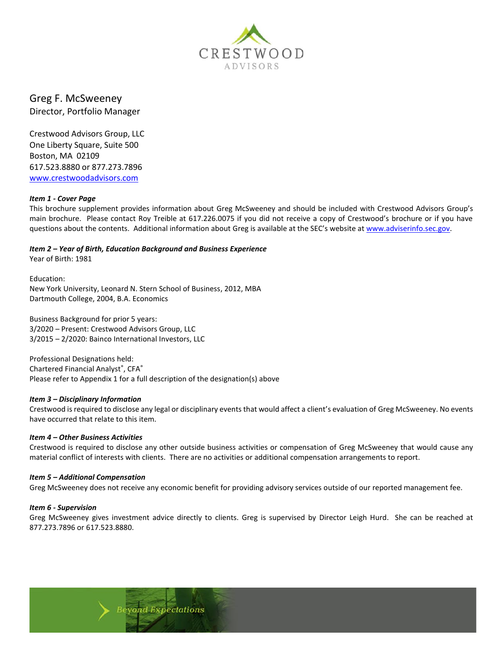

Greg F. McSweeney Director, Portfolio Manager

Crestwood Advisors Group, LLC One Liberty Square, Suite 500 Boston, MA 02109 617.523.8880 or 877.273.7896 [www.crestwoodadvisors.com](http://www.crestwoodadvisors.com/)

#### *Item 1 - Cover Page*

This brochure supplement provides information about Greg McSweeney and should be included with Crestwood Advisors Group's main brochure. Please contact Roy Treible at 617.226.0075 if you did not receive a copy of Crestwood's brochure or if you have questions about the contents. Additional information about Greg is available at the SEC's website at [www.adviserinfo.sec.gov.](http://www.adviserinfo.sec.gov/)

*Item 2 – Year of Birth, Education Background and Business Experience*

Year of Birth: 1981

Education: New York University, Leonard N. Stern School of Business, 2012, MBA Dartmouth College, 2004, B.A. Economics

Business Background for prior 5 years: 3/2020 – Present: Crestwood Advisors Group, LLC 3/2015 – 2/2020: Bainco International Investors, LLC

Professional Designations held: Chartered Financial Analyst®, CFA® Please refer to Appendix 1 for a full description of the designation(s) above

## *Item 3 – Disciplinary Information*

Crestwood is required to disclose any legal or disciplinary events that would affect a client's evaluation of Greg McSweeney. No events have occurred that relate to this item.

#### *Item 4 – Other Business Activities*

Crestwood is required to disclose any other outside business activities or compensation of Greg McSweeney that would cause any material conflict of interests with clients. There are no activities or additional compensation arrangements to report.

#### *Item 5 – Additional Compensation*

Greg McSweeney does not receive any economic benefit for providing advisory services outside of our reported management fee.

#### *Item 6 - Supervision*

Greg McSweeney gives investment advice directly to clients. Greg is supervised by Director Leigh Hurd. She can be reached at 877.273.7896 or 617.523.8880.

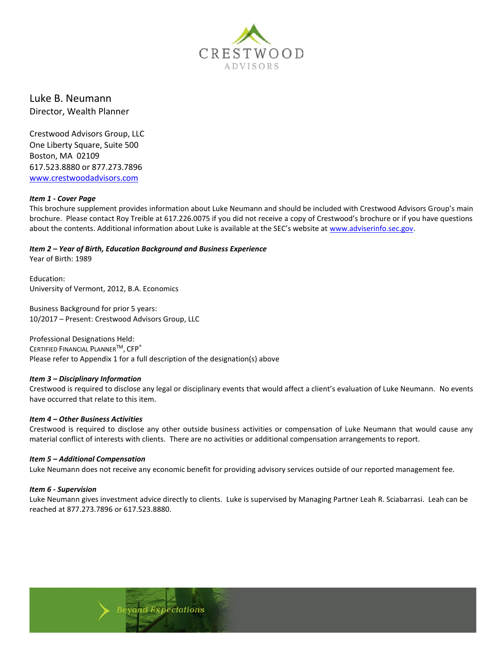

Luke B. Neumann Director, Wealth Planner

Crestwood Advisors Group, LLC One Liberty Square, Suite 500 Boston, MA 02109 617.523.8880 or 877.273.7896 [www.crestwoodadvisors.com](http://www.crestwoodadvisors.com/)

#### *Item 1 - Cover Page*

This brochure supplement provides information about Luke Neumann and should be included with Crestwood Advisors Group's main brochure. Please contact Roy Treible at 617.226.0075 if you did not receive a copy of Crestwood's brochure or if you have questions about the contents. Additional information about Luke is available at the SEC's website at [www.adviserinfo.sec.gov.](http://www.adviserinfo.sec.gov/)

# *Item 2 – Year of Birth, Education Background and Business Experience*

Year of Birth: 1989

Education: University of Vermont, 2012, B.A. Economics

Business Background for prior 5 years: 10/2017 – Present: Crestwood Advisors Group, LLC

Professional Designations Held: CERTIFIED FINANCIAL PLANNER<sup>™</sup>, CFP<sup>®</sup> Please refer to Appendix 1 for a full description of the designation(s) above

## *Item 3 – Disciplinary Information*

Crestwood is required to disclose any legal or disciplinary events that would affect a client's evaluation of Luke Neumann. No events have occurred that relate to this item.

## *Item 4 – Other Business Activities*

Crestwood is required to disclose any other outside business activities or compensation of Luke Neumann that would cause any material conflict of interests with clients. There are no activities or additional compensation arrangements to report.

## *Item 5 – Additional Compensation*

Luke Neumann does not receive any economic benefit for providing advisory services outside of our reported management fee.

#### *Item 6 - Supervision*

Luke Neumann gives investment advice directly to clients. Luke is supervised by Managing Partner Leah R. Sciabarrasi. Leah can be reached at 877.273.7896 or 617.523.8880.

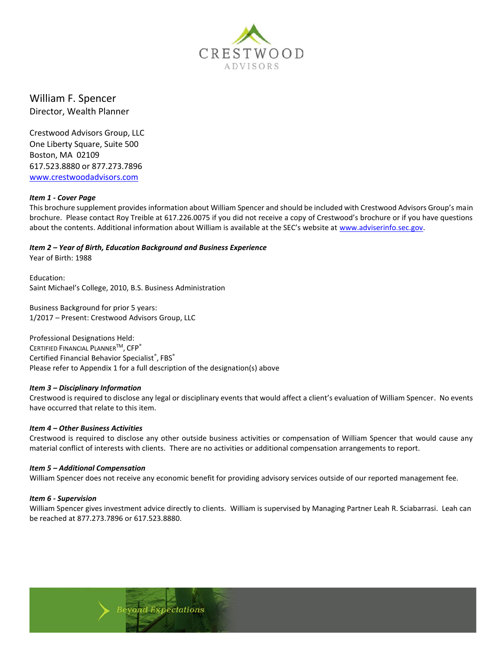

William F. Spencer Director, Wealth Planner

Crestwood Advisors Group, LLC One Liberty Square, Suite 500 Boston, MA 02109 617.523.8880 or 877.273.7896 [www.crestwoodadvisors.com](http://www.crestwoodadvisors.com/)

#### *Item 1 - Cover Page*

This brochure supplement provides information about William Spencer and should be included with Crestwood Advisors Group's main brochure. Please contact Roy Treible at 617.226.0075 if you did not receive a copy of Crestwood's brochure or if you have questions about the contents. Additional information about William is available at the SEC's website at [www.adviserinfo.sec.gov.](http://www.adviserinfo.sec.gov/)

*Item 2 – Year of Birth, Education Background and Business Experience*

Year of Birth: 1988

Education: Saint Michael's College, 2010, B.S. Business Administration

Business Background for prior 5 years: 1/2017 – Present: Crestwood Advisors Group, LLC

Professional Designations Held: CERTIFIED FINANCIAL PLANNER<sup>™</sup>, CFP<sup>®</sup> Certified Financial Behavior Specialist®, FBS® Please refer to Appendix 1 for a full description of the designation(s) above

## *Item 3 – Disciplinary Information*

Crestwood is required to disclose any legal or disciplinary events that would affect a client's evaluation of William Spencer. No events have occurred that relate to this item.

#### *Item 4 – Other Business Activities*

Crestwood is required to disclose any other outside business activities or compensation of William Spencer that would cause any material conflict of interests with clients. There are no activities or additional compensation arrangements to report.

#### *Item 5 – Additional Compensation*

William Spencer does not receive any economic benefit for providing advisory services outside of our reported management fee.

#### *Item 6 - Supervision*

William Spencer gives investment advice directly to clients. William is supervised by Managing Partner Leah R. Sciabarrasi. Leah can be reached at 877.273.7896 or 617.523.8880.

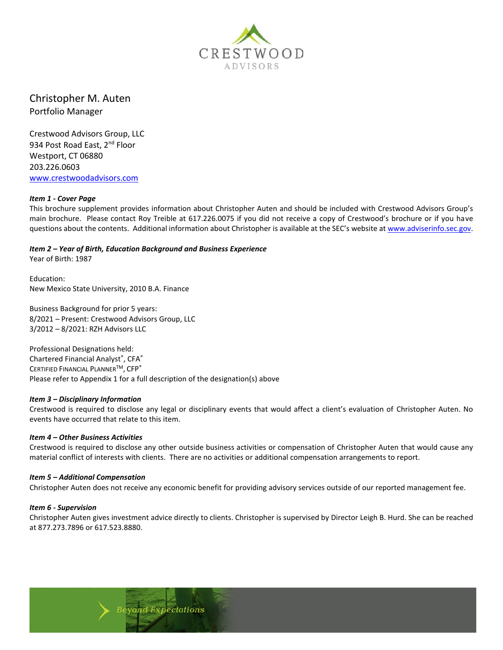

Christopher M. Auten Portfolio Manager

Crestwood Advisors Group, LLC 934 Post Road East, 2<sup>nd</sup> Floor Westport, CT 06880 203.226.0603 [www.crestwoodadvisors.com](http://www.crestwoodadvisors.com/)

#### *Item 1 - Cover Page*

This brochure supplement provides information about Christopher Auten and should be included with Crestwood Advisors Group's main brochure. Please contact Roy Treible at 617.226.0075 if you did not receive a copy of Crestwood's brochure or if you have questions about the contents. Additional information about Christopher is available at the SEC's website at [www.adviserinfo.sec.gov.](http://www.adviserinfo.sec.gov/)

*Item 2 – Year of Birth, Education Background and Business Experience*

Year of Birth: 1987

Education: New Mexico State University, 2010 B.A. Finance

Business Background for prior 5 years: 8/2021 – Present: Crestwood Advisors Group, LLC 3/2012 – 8/2021: RZH Advisors LLC

Professional Designations held: Chartered Financial Analyst®, CFA® CERTIFIED FINANCIAL PLANNER<sup>TM</sup>, CFP® Please refer to Appendix 1 for a full description of the designation(s) above

#### *Item 3 – Disciplinary Information*

Crestwood is required to disclose any legal or disciplinary events that would affect a client's evaluation of Christopher Auten. No events have occurred that relate to this item.

#### *Item 4 – Other Business Activities*

Crestwood is required to disclose any other outside business activities or compensation of Christopher Auten that would cause any material conflict of interests with clients. There are no activities or additional compensation arrangements to report.

#### *Item 5 – Additional Compensation*

Christopher Auten does not receive any economic benefit for providing advisory services outside of our reported management fee.

#### *Item 6 - Supervision*

Christopher Auten gives investment advice directly to clients. Christopher is supervised by Director Leigh B. Hurd. She can be reached at 877.273.7896 or 617.523.8880.

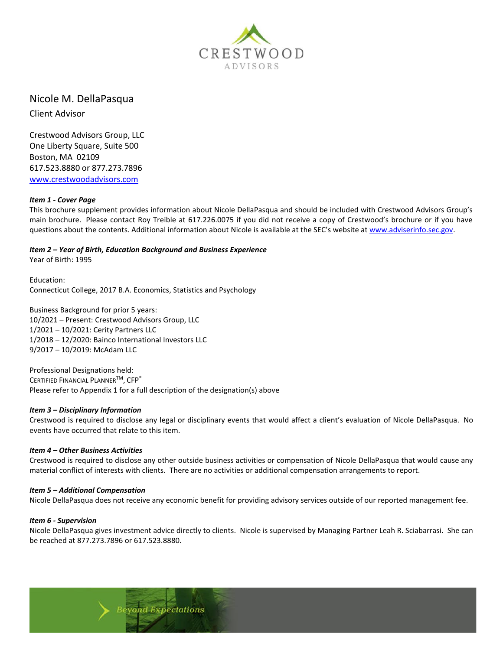

# Nicole M. DellaPasqua

Client Advisor

Crestwood Advisors Group, LLC One Liberty Square, Suite 500 Boston, MA 02109 617.523.8880 or 877.273.7896 [www.crestwoodadvisors.com](http://www.crestwoodadvisors.com/)

## *Item 1 - Cover Page*

This brochure supplement provides information about Nicole DellaPasqua and should be included with Crestwood Advisors Group's main brochure. Please contact Roy Treible at 617.226.0075 if you did not receive a copy of Crestwood's brochure or if you have questions about the contents. Additional information about Nicole is available at the SEC's website at [www.adviserinfo.sec.gov.](http://www.adviserinfo.sec.gov/)

# *Item 2 – Year of Birth, Education Background and Business Experience*

Year of Birth: 1995

Education: Connecticut College, 2017 B.A. Economics, Statistics and Psychology

Business Background for prior 5 years: 10/2021 – Present: Crestwood Advisors Group, LLC 1/2021 – 10/2021: Cerity Partners LLC 1/2018 – 12/2020: Bainco International Investors LLC 9/2017 – 10/2019: McAdam LLC

Professional Designations held: CERTIFIED FINANCIAL PLANNER<sup>TM</sup>, CFP® Please refer to Appendix 1 for a full description of the designation(s) above

## *Item 3 – Disciplinary Information*

Crestwood is required to disclose any legal or disciplinary events that would affect a client's evaluation of Nicole DellaPasqua. No events have occurred that relate to this item.

## *Item 4 – Other Business Activities*

Crestwood is required to disclose any other outside business activities or compensation of Nicole DellaPasqua that would cause any material conflict of interests with clients. There are no activities or additional compensation arrangements to report.

## *Item 5 – Additional Compensation*

Nicole DellaPasqua does not receive any economic benefit for providing advisory services outside of our reported management fee.

## *Item 6 - Supervision*

Nicole DellaPasqua gives investment advice directly to clients. Nicole is supervised by Managing Partner Leah R. Sciabarrasi. She can be reached at 877.273.7896 or 617.523.8880.

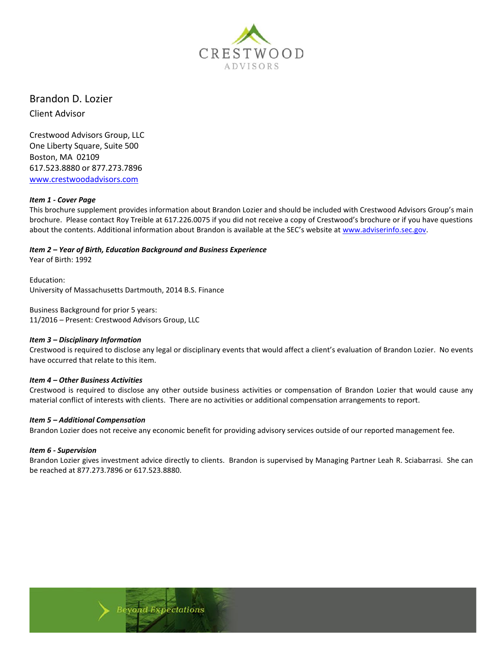

Brandon D. Lozier

Client Advisor

Crestwood Advisors Group, LLC One Liberty Square, Suite 500 Boston, MA 02109 617.523.8880 or 877.273.7896 [www.crestwoodadvisors.com](http://www.crestwoodadvisors.com/)

## *Item 1 - Cover Page*

This brochure supplement provides information about Brandon Lozier and should be included with Crestwood Advisors Group's main brochure. Please contact Roy Treible at 617.226.0075 if you did not receive a copy of Crestwood's brochure or if you have questions about the contents. Additional information about Brandon is available at the SEC's website at [www.adviserinfo.sec.gov.](http://www.adviserinfo.sec.gov/)

## *Item 2 – Year of Birth, Education Background and Business Experience*

Year of Birth: 1992

Education: University of Massachusetts Dartmouth, 2014 B.S. Finance

Business Background for prior 5 years: 11/2016 – Present: Crestwood Advisors Group, LLC

## *Item 3 – Disciplinary Information*

Crestwood is required to disclose any legal or disciplinary events that would affect a client's evaluation of Brandon Lozier. No events have occurred that relate to this item.

## *Item 4 – Other Business Activities*

Crestwood is required to disclose any other outside business activities or compensation of Brandon Lozier that would cause any material conflict of interests with clients. There are no activities or additional compensation arrangements to report.

## *Item 5 – Additional Compensation*

Brandon Lozier does not receive any economic benefit for providing advisory services outside of our reported management fee.

## *Item 6 - Supervision*

Brandon Lozier gives investment advice directly to clients. Brandon is supervised by Managing Partner Leah R. Sciabarrasi. She can be reached at 877.273.7896 or 617.523.8880.

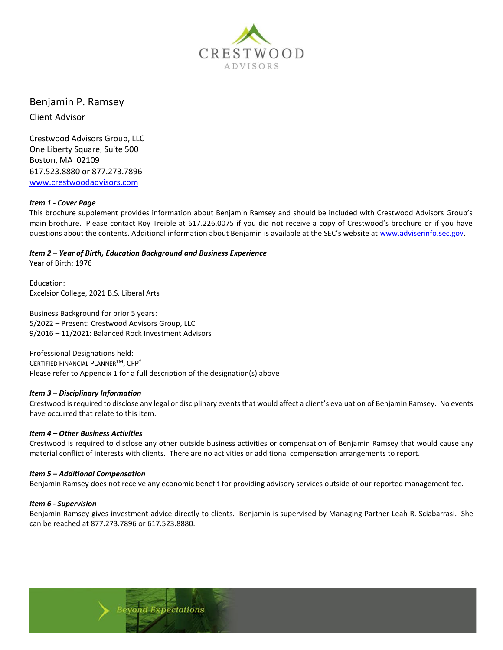

# Benjamin P. Ramsey

Client Advisor

Crestwood Advisors Group, LLC One Liberty Square, Suite 500 Boston, MA 02109 617.523.8880 or 877.273.7896 [www.crestwoodadvisors.com](http://www.crestwoodadvisors.com/)

## *Item 1 - Cover Page*

This brochure supplement provides information about Benjamin Ramsey and should be included with Crestwood Advisors Group's main brochure. Please contact Roy Treible at 617.226.0075 if you did not receive a copy of Crestwood's brochure or if you have questions about the contents. Additional information about Benjamin is available at the SEC's website at [www.adviserinfo.sec.gov.](http://www.adviserinfo.sec.gov/)

## *Item 2 – Year of Birth, Education Background and Business Experience*

Year of Birth: 1976

Education: Excelsior College, 2021 B.S. Liberal Arts

Business Background for prior 5 years: 5/2022 – Present: Crestwood Advisors Group, LLC 9/2016 – 11/2021: Balanced Rock Investment Advisors

Professional Designations held: CERTIFIED FINANCIAL PLANNER™, CFP® Please refer to Appendix 1 for a full description of the designation(s) above

## *Item 3 – Disciplinary Information*

Crestwood is required to disclose any legal or disciplinary events that would affect a client's evaluation of Benjamin Ramsey. No events have occurred that relate to this item.

#### *Item 4 – Other Business Activities*

Crestwood is required to disclose any other outside business activities or compensation of Benjamin Ramsey that would cause any material conflict of interests with clients. There are no activities or additional compensation arrangements to report.

#### *Item 5 – Additional Compensation*

Benjamin Ramsey does not receive any economic benefit for providing advisory services outside of our reported management fee.

#### *Item 6 - Supervision*

Benjamin Ramsey gives investment advice directly to clients. Benjamin is supervised by Managing Partner Leah R. Sciabarrasi. She can be reached at 877.273.7896 or 617.523.8880.

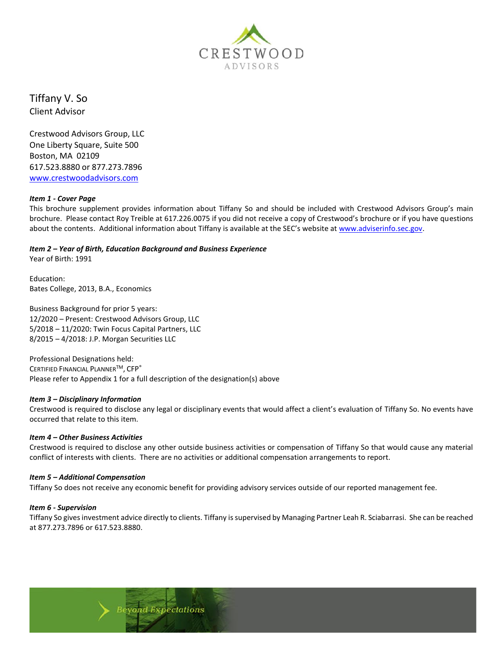

Tiffany V. So Client Advisor

Crestwood Advisors Group, LLC One Liberty Square, Suite 500 Boston, MA 02109 617.523.8880 or 877.273.7896 [www.crestwoodadvisors.com](http://www.crestwoodadvisors.com/)

## *Item 1 - Cover Page*

This brochure supplement provides information about Tiffany So and should be included with Crestwood Advisors Group's main brochure. Please contact Roy Treible at 617.226.0075 if you did not receive a copy of Crestwood's brochure or if you have questions about the contents. Additional information about Tiffany is available at the SEC's website a[t www.adviserinfo.sec.gov.](http://www.adviserinfo.sec.gov/)

## *Item 2 – Year of Birth, Education Background and Business Experience*

Year of Birth: 1991

Education: Bates College, 2013, B.A., Economics

Business Background for prior 5 years: 12/2020 – Present: Crestwood Advisors Group, LLC 5/2018 – 11/2020: Twin Focus Capital Partners, LLC 8/2015 – 4/2018: J.P. Morgan Securities LLC

Professional Designations held: CERTIFIED FINANCIAL PLANNER<sup>TM</sup>, CFP® Please refer to Appendix 1 for a full description of the designation(s) above

#### *Item 3 – Disciplinary Information*

Crestwood is required to disclose any legal or disciplinary events that would affect a client's evaluation of Tiffany So. No events have occurred that relate to this item.

#### *Item 4 – Other Business Activities*

Crestwood is required to disclose any other outside business activities or compensation of Tiffany So that would cause any material conflict of interests with clients. There are no activities or additional compensation arrangements to report.

#### *Item 5 – Additional Compensation*

Tiffany So does not receive any economic benefit for providing advisory services outside of our reported management fee.

#### *Item 6 - Supervision*

Tiffany So gives investment advice directly to clients. Tiffany is supervised by Managing Partner Leah R. Sciabarrasi. She can be reached at 877.273.7896 or 617.523.8880.

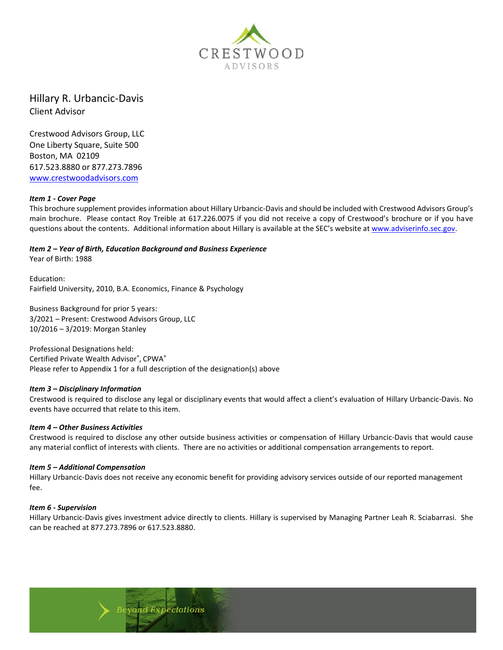

Hillary R. Urbancic-Davis Client Advisor

Crestwood Advisors Group, LLC One Liberty Square, Suite 500 Boston, MA 02109 617.523.8880 or 877.273.7896 [www.crestwoodadvisors.com](http://www.crestwoodadvisors.com/)

#### *Item 1 - Cover Page*

This brochure supplement provides information about Hillary Urbancic-Davis and should be included with Crestwood Advisors Group's main brochure. Please contact Roy Treible at 617.226.0075 if you did not receive a copy of Crestwood's brochure or if you have questions about the contents. Additional information about Hillary is available at the SEC's website a[t www.adviserinfo.sec.gov.](http://www.adviserinfo.sec.gov/)

*Item 2 – Year of Birth, Education Background and Business Experience* Year of Birth: 1988

Education: Fairfield University, 2010, B.A. Economics, Finance & Psychology

Business Background for prior 5 years: 3/2021 – Present: Crestwood Advisors Group, LLC 10/2016 – 3/2019: Morgan Stanley

Professional Designations held: Certified Private Wealth Advisor® , CPWA® Please refer to Appendix 1 for a full description of the designation(s) above

#### *Item 3 – Disciplinary Information*

Crestwood is required to disclose any legal or disciplinary events that would affect a client's evaluation of Hillary Urbancic-Davis. No events have occurred that relate to this item.

#### *Item 4 – Other Business Activities*

Crestwood is required to disclose any other outside business activities or compensation of Hillary Urbancic-Davis that would cause any material conflict of interests with clients. There are no activities or additional compensation arrangements to report.

#### *Item 5 – Additional Compensation*

Hillary Urbancic-Davis does not receive any economic benefit for providing advisory services outside of our reported management fee.

#### *Item 6 - Supervision*

Hillary Urbancic-Davis gives investment advice directly to clients. Hillary is supervised by Managing Partner Leah R. Sciabarrasi. She can be reached at 877.273.7896 or 617.523.8880.

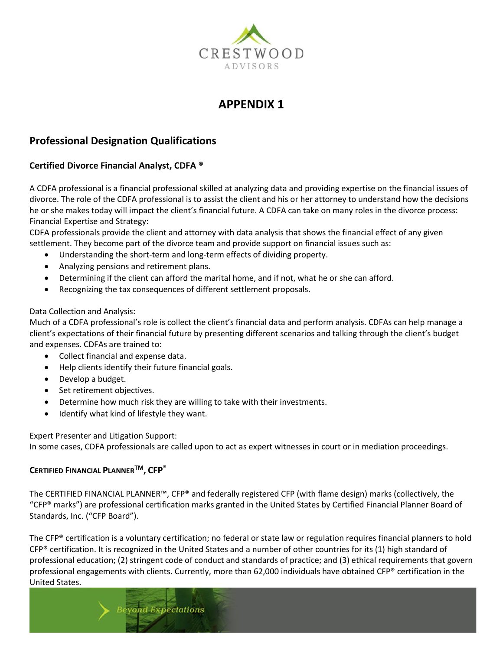

# **APPENDIX 1**

# **Professional Designation Qualifications**

# **Certified Divorce Financial Analyst, CDFA ®**

A CDFA professional is a financial professional skilled at analyzing data and providing expertise on the financial issues of divorce. The role of the CDFA professional is to assist the client and his or her attorney to understand how the decisions he or she makes today will impact the client's financial future. A CDFA can take on many roles in the divorce process: Financial Expertise and Strategy:

CDFA professionals provide the client and attorney with data analysis that shows the financial effect of any given settlement. They become part of the divorce team and provide support on financial issues such as:

- Understanding the short-term and long-term effects of dividing property.
- Analyzing pensions and retirement plans.
- Determining if the client can afford the marital home, and if not, what he or she can afford.
- Recognizing the tax consequences of different settlement proposals.

## Data Collection and Analysis:

Much of a CDFA professional's role is collect the client's financial data and perform analysis. CDFAs can help manage a client's expectations of their financial future by presenting different scenarios and talking through the client's budget and expenses. CDFAs are trained to:

- Collect financial and expense data.
- Help clients identify their future financial goals.
- Develop a budget.
- Set retirement objectives.
- Determine how much risk they are willing to take with their investments.
- Identify what kind of lifestyle they want.

Expert Presenter and Litigation Support:

In some cases, CDFA professionals are called upon to act as expert witnesses in court or in mediation proceedings.

## **CERTIFIED FINANCIAL PLANNERTM, CFP®**

The CERTIFIED FINANCIAL PLANNER™, CFP® and federally registered CFP (with flame design) marks (collectively, the "CFP® marks") are professional certification marks granted in the United States by Certified Financial Planner Board of Standards, Inc. ("CFP Board").

The CFP® certification is a voluntary certification; no federal or state law or regulation requires financial planners to hold  $CFP<sup>®</sup>$  certification. It is recognized in the United States and a number of other countries for its (1) high standard of professional education; (2) stringent code of conduct and standards of practice; and (3) ethical requirements that govern professional engagements with clients. Currently, more than 62,000 individuals have obtained CFP® certification in the United States.

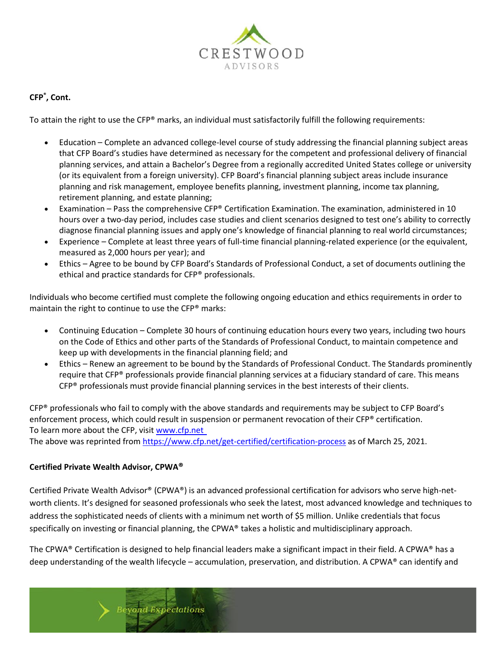

## **CFP® , Cont.**

To attain the right to use the CFP® marks, an individual must satisfactorily fulfill the following requirements:

- Education Complete an advanced college-level course of study addressing the financial planning subject areas that CFP Board's studies have determined as necessary for the competent and professional delivery of financial planning services, and attain a Bachelor's Degree from a regionally accredited United States college or university (or its equivalent from a foreign university). CFP Board's financial planning subject areas include insurance planning and risk management, employee benefits planning, investment planning, income tax planning, retirement planning, and estate planning;
- Examination Pass the comprehensive CFP® Certification Examination. The examination, administered in 10 hours over a two-day period, includes case studies and client scenarios designed to test one's ability to correctly diagnose financial planning issues and apply one's knowledge of financial planning to real world circumstances;
- Experience Complete at least three years of full-time financial planning-related experience (or the equivalent, measured as 2,000 hours per year); and
- Ethics Agree to be bound by CFP Board's Standards of Professional Conduct, a set of documents outlining the ethical and practice standards for CFP® professionals.

Individuals who become certified must complete the following ongoing education and ethics requirements in order to maintain the right to continue to use the CFP® marks:

- Continuing Education Complete 30 hours of continuing education hours every two years, including two hours on the Code of Ethics and other parts of the Standards of Professional Conduct, to maintain competence and keep up with developments in the financial planning field; and
- Ethics Renew an agreement to be bound by the Standards of Professional Conduct. The Standards prominently require that CFP® professionals provide financial planning services at a fiduciary standard of care. This means CFP<sup>®</sup> professionals must provide financial planning services in the best interests of their clients.

CFP® professionals who fail to comply with the above standards and requirements may be subject to CFP Board's enforcement process, which could result in suspension or permanent revocation of their CFP® certification. To learn more about the CFP, visit [www.cfp.net](http://www.cfp.net/)

The above was reprinted fro[m https://www.cfp.net/get-certified/certification-process](https://www.cfp.net/get-certified/certification-process) as of March 25, 2021.

## **Certified Private Wealth Advisor, CPWA®**

Certified Private Wealth Advisor® (CPWA®) is an advanced professional certification for advisors who serve high-networth clients. It's designed for seasoned professionals who seek the latest, most advanced knowledge and techniques to address the sophisticated needs of clients with a minimum net worth of \$5 million. Unlike credentials that focus specifically on investing or financial planning, the CPWA® takes a holistic and multidisciplinary approach.

The CPWA® Certification is designed to help financial leaders make a significant impact in their field. A CPWA® has a deep understanding of the wealth lifecycle – accumulation, preservation, and distribution. A CPWA® can identify and

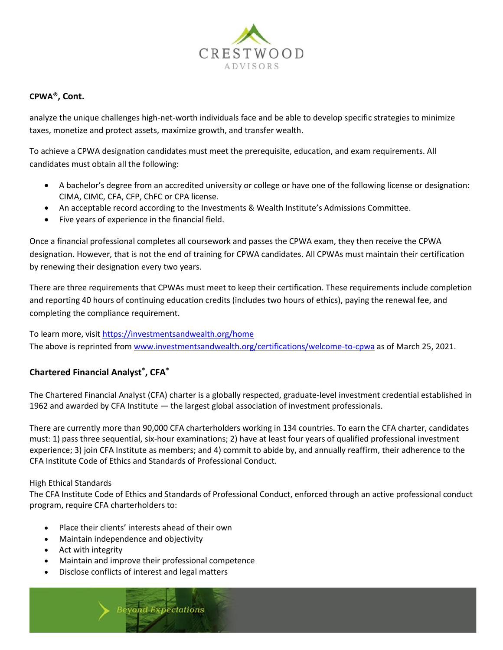

## **CPWA®, Cont.**

analyze the unique challenges high-net-worth individuals face and be able to develop specific strategies to minimize taxes, monetize and protect assets, maximize growth, and transfer wealth.

To achieve a CPWA designation candidates must meet the prerequisite, education, and exam requirements. All candidates must obtain all the following:

- A bachelor's degree from an accredited university or college or have one of the following license or designation: CIMA, CIMC, CFA, CFP, ChFC or CPA license.
- An acceptable record according to the Investments & Wealth Institute's Admissions Committee.
- Five years of experience in the financial field.

Once a financial professional completes all coursework and passes the CPWA exam, they then receive the CPWA designation. However, that is not the end of training for CPWA candidates. All CPWAs must maintain their certification by renewing their designation every two years.

There are three requirements that CPWAs must meet to keep their certification. These requirements include completion and reporting 40 hours of continuing education credits (includes two hours of ethics), paying the renewal fee, and completing the compliance requirement.

To learn more, visi[t https://investmentsandwealth.org/home](https://investmentsandwealth.org/home) The above is reprinted from [www.investmentsandwealth.org/certifications/welcome-to-cpwa](http://www.investmentsandwealth.org/certifications/welcome-to-cpwa) as of March 25, 2021.

# **Chartered Financial Analyst® , CFA®**

The Chartered Financial Analyst (CFA) charter is a globally respected, graduate-level investment credential established in 1962 and awarded by CFA Institute — the largest global association of investment professionals.

There are currently more than 90,000 CFA charterholders working in 134 countries. To earn the CFA charter, candidates must: 1) pass three sequential, six-hour examinations; 2) have at least four years of qualified professional investment experience; 3) join CFA Institute as members; and 4) commit to abide by, and annually reaffirm, their adherence to the CFA Institute Code of Ethics and Standards of Professional Conduct.

## High Ethical Standards

The CFA Institute Code of Ethics and Standards of Professional Conduct, enforced through an active professional conduct program, require CFA charterholders to:

- Place their clients' interests ahead of their own
- Maintain independence and objectivity
- Act with integrity
- Maintain and improve their professional competence
- Disclose conflicts of interest and legal matters

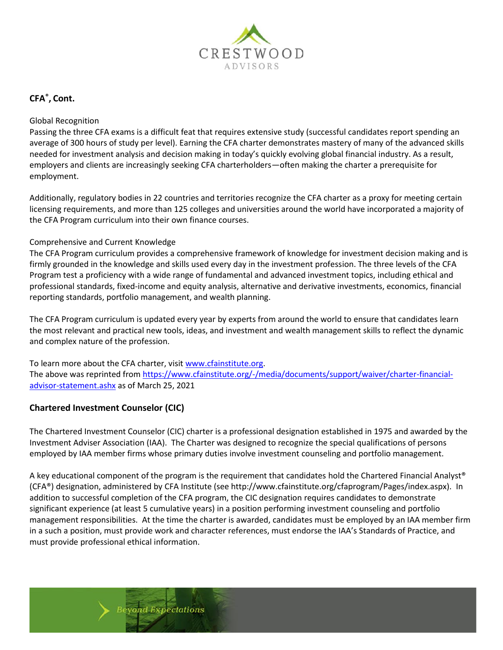

# **CFA® , Cont.**

## Global Recognition

Passing the three CFA exams is a difficult feat that requires extensive study (successful candidates report spending an average of 300 hours of study per level). Earning the CFA charter demonstrates mastery of many of the advanced skills needed for investment analysis and decision making in today's quickly evolving global financial industry. As a result, employers and clients are increasingly seeking CFA charterholders—often making the charter a prerequisite for employment.

Additionally, regulatory bodies in 22 countries and territories recognize the CFA charter as a proxy for meeting certain licensing requirements, and more than 125 colleges and universities around the world have incorporated a majority of the CFA Program curriculum into their own finance courses.

## Comprehensive and Current Knowledge

The CFA Program curriculum provides a comprehensive framework of knowledge for investment decision making and is firmly grounded in the knowledge and skills used every day in the investment profession. The three levels of the CFA Program test a proficiency with a wide range of fundamental and advanced investment topics, including ethical and professional standards, fixed-income and equity analysis, alternative and derivative investments, economics, financial reporting standards, portfolio management, and wealth planning.

The CFA Program curriculum is updated every year by experts from around the world to ensure that candidates learn the most relevant and practical new tools, ideas, and investment and wealth management skills to reflect the dynamic and complex nature of the profession.

To learn more about the CFA charter, visi[t www.cfainstitute.org.](http://www.cfainstitute.org/) The above was reprinted fro[m https://www.cfainstitute.org/-/media/documents/support/waiver/charter-financial](https://www.cfainstitute.org/-/media/documents/support/waiver/charter-financial-advisor-statement.ashx)[advisor-statement.ashx](https://www.cfainstitute.org/-/media/documents/support/waiver/charter-financial-advisor-statement.ashx) as of March 25, 2021

## **Chartered Investment Counselor (CIC)**

The Chartered Investment Counselor (CIC) charter is a professional designation established in 1975 and awarded by the Investment Adviser Association (IAA). The Charter was designed to recognize the special qualifications of persons employed by IAA member firms whose primary duties involve investment counseling and portfolio management.

A key educational component of the program is the requirement that candidates hold the Chartered Financial Analyst® (CFA®) designation, administered by CFA Institute (see http://www.cfainstitute.org/cfaprogram/Pages/index.aspx). In addition to successful completion of the CFA program, the CIC designation requires candidates to demonstrate significant experience (at least 5 cumulative years) in a position performing investment counseling and portfolio management responsibilities. At the time the charter is awarded, candidates must be employed by an IAA member firm in a such a position, must provide work and character references, must endorse the IAA's Standards of Practice, and must provide professional ethical information.